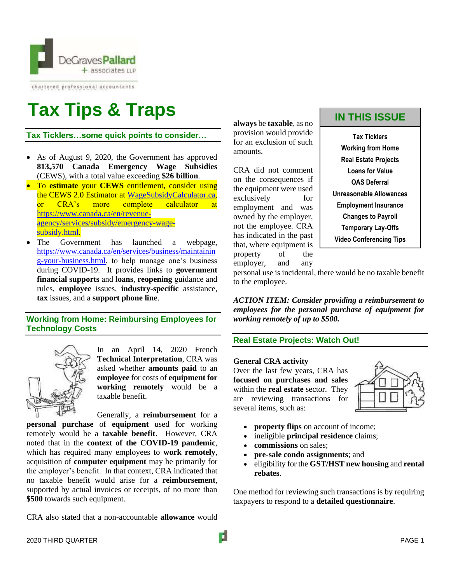

chartered professional accountants

# **Tax Tips & Traps**

**Tax Ticklers…some quick points to consider…**

- As of August 9, 2020, the Government has approved **813,570 Canada Emergency Wage Subsidies** (CEWS), with a total value exceeding **\$26 billion**.
- To **estimate** your **CEWS** entitlement, consider using the CEWS 2.0 Estimator at [WageSubsidyCalculator.ca,](https://www.wagesubsidycalculator.ca/) or CRA's more complete calculator at [https://www.canada.ca/en/revenue](https://www.canada.ca/en/revenue-agency/services/subsidy/emergency-wage-subsidy.html)[agency/services/subsidy/emergency-wage](https://www.canada.ca/en/revenue-agency/services/subsidy/emergency-wage-subsidy.html)[subsidy.html.](https://www.canada.ca/en/revenue-agency/services/subsidy/emergency-wage-subsidy.html)
- The Government has launched a webpage, [https://www.canada.ca/en/services/business/maintainin](https://www.canada.ca/en/services/business/maintaining-your-business.html) [g-your-business.html,](https://www.canada.ca/en/services/business/maintaining-your-business.html) to help manage one's business during COVID-19. It provides links to **government financial supports** and **loans**, **reopening** guidance and rules, **employee** issues, **industry-specific** assistance, **tax** issues, and a **support phone line**.

# **Working from Home: Reimbursing Employees for Technology Costs**



In an April 14, 2020 French **Technical Interpretation**, CRA was asked whether **amounts paid** to an **employee** for costs of **equipment for working remotely** would be a taxable benefit.

Generally, a **reimbursement** for a **personal purchase** of **equipment** used for working remotely would be a **taxable benefit**. However, CRA noted that in the **context of the COVID-19 pandemic**, which has required many employees to **work remotely**, acquisition of **computer equipment** may be primarily for the employer's benefit. In that context, CRA indicated that no taxable benefit would arise for a **reimbursement**, supported by actual invoices or receipts, of no more than **\$500** towards such equipment.

CRA also stated that a non-accountable **allowance** would

**always** be **taxable**, as no provision would provide for an exclusion of such amounts.

CRA did not comment on the consequences if the equipment were used exclusively for employment and was owned by the employer, not the employee. CRA has indicated in the past that, where equipment is property of the employer, and any

# **IN THIS ISSUE**

**Tax Ticklers Working from Home Real Estate Projects Loans for Value OAS Deferral Unreasonable Allowances Employment Insurance Changes to Payroll Temporary Lay-Offs Video Conferencing Tips**

personal use is incidental, there would be no taxable benefit to the employee.

*ACTION ITEM: Consider providing a reimbursement to employees for the personal purchase of equipment for working remotely of up to \$500.*

# **Real Estate Projects: Watch Out!**

## **General CRA activity**

Over the last few years, CRA has **focused on purchases and sales** within the **real estate** sector. They are reviewing transactions for several items, such as:



- **property flips** on account of income;
- ineligible **principal residence** claims;
- **commissions** on sales;
- **pre-sale condo assignments**; and
- eligibility for the **GST/HST new housing** and **rental rebates**.

One method for reviewing such transactions is by requiring taxpayers to respond to a **detailed questionnaire**.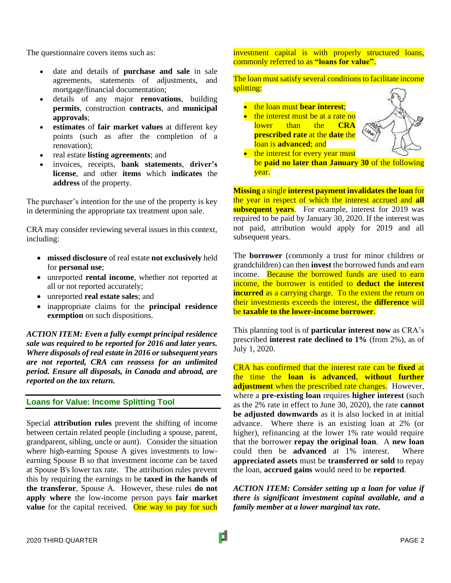The questionnaire covers items such as:

- date and details of **purchase and sale** in sale agreements, statements of adjustments, and mortgage/financial documentation;
- details of any major **renovations**, building **permits**, construction **contracts**, and **municipal approvals**;
- **estimates** of **fair market values** at different key points (such as after the completion of a renovation);
- real estate **listing agreements**; and
- invoices, receipts, **bank statements**, **driver's license**, and other **items** which **indicates** the **address** of the property.

The purchaser's intention for the use of the property is key in determining the appropriate tax treatment upon sale.

CRA may consider reviewing several issues in this context, including:

- **missed disclosure** of real estate **not exclusively** held for **personal use**;
- unreported **rental income**, whether not reported at all or not reported accurately;
- unreported **real estate sales**; and
- inappropriate claims for the **principal residence exemption** on such dispositions.

*ACTION ITEM: Even a fully exempt principal residence sale was required to be reported for 2016 and later years. Where disposals of real estate in 2016 or subsequent years are not reported, CRA can reassess for an unlimited period. Ensure all disposals, in Canada and abroad, are reported on the tax return.*

## **Loans for Value: Income Splitting Tool**

Special **attribution rules** prevent the shifting of income between certain related people (including a spouse, parent, grandparent, sibling, uncle or aunt). Consider the situation where high-earning Spouse A gives investments to lowearning Spouse B so that investment income can be taxed at Spouse B's lower tax rate. The attribution rules prevent this by requiring the earnings to be **taxed in the hands of the transferor**, Spouse A. However, these rules **do not apply where** the low-income person pays **fair market value** for the capital received. One way to pay for such investment capital is with properly structured loans, commonly referred to as **"loans for value"**.

## The loan must satisfy several conditions to facilitate income splitting:

- the loan must **bear interest**;
- the interest must be at a rate no lower than the **CRA prescribed rate** at the **date** the loan is **advanced**; and



• the interest for every year must be **paid no later than January 30** of the following year.

**Missing** a single **interest payment invalidates the loan** for the year in respect of which the interest accrued and **all subsequent years**. For example, interest for 2019 was required to be paid by January 30, 2020. If the interest was not paid, attribution would apply for 2019 and all subsequent years.

The **borrower** (commonly a trust for minor children or grandchildren) can then **invest** the borrowed funds and earn income. Because the borrowed funds are used to earn income, the borrower is entitled to **deduct the interest incurred** as a carrying charge. To the extent the return on their investments exceeds the interest, the **difference** will be **taxable to the lower-income borrower**.

This planning tool is of **particular interest now** as CRA's prescribed **interest rate declined to 1%** (from 2%), as of July 1, 2020.

CRA has confirmed that the interest rate can be **fixed** at the time the **loan is advanced**, **without further adjustment** when the prescribed rate changes. However, where a **pre-existing loan** requires **higher interest** (such as the 2% rate in effect to June 30, 2020), the rate **cannot be adjusted downwards** as it is also locked in at initial advance. Where there is an existing loan at 2% (or higher), refinancing at the lower 1% rate would require that the borrower **repay the original loan**. A **new loan** could then be **advanced** at 1% interest. Where **appreciated assets** must be **transferred or sold** to repay the loan, **accrued gains** would need to be **reported**.

*ACTION ITEM: Consider setting up a loan for value if there is significant investment capital available, and a family member at a lower marginal tax rate.*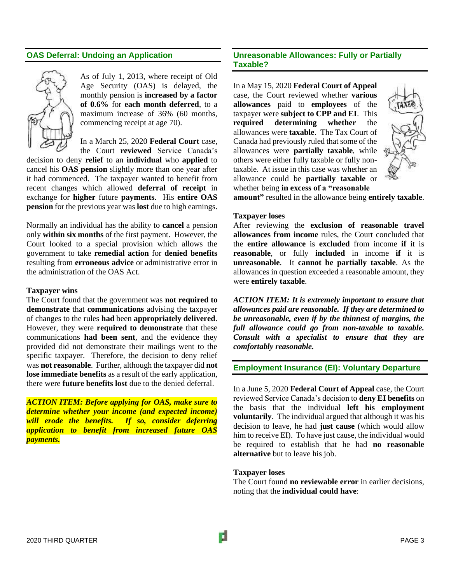## **OAS Deferral: Undoing an Application**



As of July 1, 2013, where receipt of Old Age Security (OAS) is delayed, the monthly pension is **increased by a factor of 0.6%** for **each month deferred**, to a maximum increase of 36% (60 months, commencing receipt at age 70).

In a March 25, 2020 **Federal Court** case,

the Court **reviewed** Service Canada's decision to deny **relief** to an **individual** who **applied** to cancel his **OAS pension** slightly more than one year after it had commenced. The taxpayer wanted to benefit from recent changes which allowed **deferral of receipt** in exchange for **higher** future **payments**. His **entire OAS pension** for the previous year was **lost** due to high earnings.

Normally an individual has the ability to **cancel** a pension only **within six months** of the first payment. However, the Court looked to a special provision which allows the government to take **remedial action** for **denied benefits** resulting from **erroneous advice** or administrative error in the administration of the OAS Act.

#### **Taxpayer wins**

The Court found that the government was **not required to demonstrate** that **communications** advising the taxpayer of changes to the rules **had** been **appropriately delivered**. However, they were **required to demonstrate** that these communications **had been sent**, and the evidence they provided did not demonstrate their mailings went to the specific taxpayer. Therefore, the decision to deny relief was **not reasonable**. Further, although the taxpayer did **not lose immediate benefits** as a result of the early application, there were **future benefits lost** due to the denied deferral.

*ACTION ITEM: Before applying for OAS, make sure to determine whether your income (and expected income) will erode the benefits. If so, consider deferring application to benefit from increased future OAS payments.*

# **Unreasonable Allowances: Fully or Partially Taxable?**

In a May 15, 2020 **Federal Court of Appeal** case, the Court reviewed whether **various allowances** paid to **employees** of the taxpayer were **subject to CPP and EI**. This **required determining whether** the allowances were **taxable**. The Tax Court of Canada had previously ruled that some of the allowances were **partially taxable**, while others were either fully taxable or fully nontaxable. At issue in this case was whether an allowance could be **partially taxable** or whether being **in excess of a "reasonable** 



**amount"** resulted in the allowance being **entirely taxable**.

#### **Taxpayer loses**

After reviewing the **exclusion of reasonable travel allowances from income** rules, the Court concluded that the **entire allowance** is **excluded** from income **if** it is **reasonable**, or fully **included** in income **if** it is **unreasonable**. It **cannot be partially taxable**. As the allowances in question exceeded a reasonable amount, they were **entirely taxable**.

*ACTION ITEM: It is extremely important to ensure that allowances paid are reasonable. If they are determined to be unreasonable, even if by the thinnest of margins, the full allowance could go from non-taxable to taxable. Consult with a specialist to ensure that they are comfortably reasonable.*

## **Employment Insurance (EI): Voluntary Departure**

In a June 5, 2020 **Federal Court of Appeal** case, the Court reviewed Service Canada's decision to **deny EI benefits** on the basis that the individual **left his employment voluntarily**. The individual argued that although it was his decision to leave, he had **just cause** (which would allow him to receive EI). To have just cause, the individual would be required to establish that he had **no reasonable alternative** but to leave his job.

## **Taxpayer loses**

The Court found **no reviewable error** in earlier decisions, noting that the **individual could have**: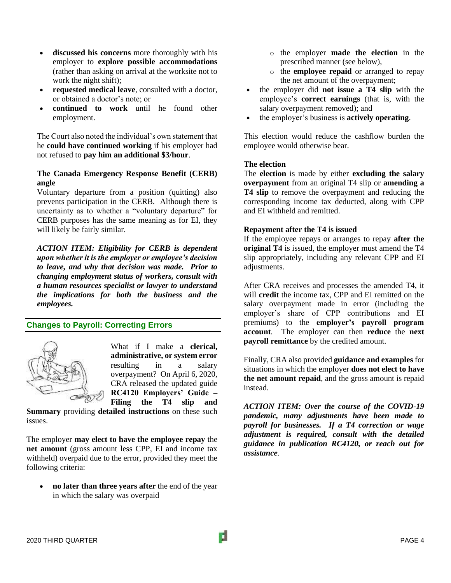- **discussed his concerns** more thoroughly with his employer to **explore possible accommodations** (rather than asking on arrival at the worksite not to work the night shift);
- **requested medical leave**, consulted with a doctor, or obtained a doctor's note; or
- **continued to work** until he found other employment.

The Court also noted the individual's own statement that he **could have continued working** if his employer had not refused to **pay him an additional \$3/hour**.

## **The Canada Emergency Response Benefit (CERB) angle**

Voluntary departure from a position (quitting) also prevents participation in the CERB. Although there is uncertainty as to whether a "voluntary departure" for CERB purposes has the same meaning as for EI, they will likely be fairly similar.

*ACTION ITEM: Eligibility for CERB is dependent upon whether it is the employer or employee's decision to leave, and why that decision was made. Prior to changing employment status of workers, consult with a human resources specialist or lawyer to understand the implications for both the business and the employees.*

# **Changes to Payroll: Correcting Errors**



What if I make a **clerical, administrative, or system error** resulting in a salary overpayment? On April 6, 2020, CRA released the updated guide **RC4120 Employers' Guide – Filing the T4 slip and** 

**Summary** providing **detailed instructions** on these such issues.

The employer **may elect to have the employee repay** the **net amount** (gross amount less CPP, EI and income tax withheld) overpaid due to the error, provided they meet the following criteria:

• **no later than three years after** the end of the year in which the salary was overpaid

- o the employer **made the election** in the prescribed manner (see below),
- o the **employee repaid** or arranged to repay the net amount of the overpayment;
- the employer did **not issue a T4 slip** with the employee's **correct earnings** (that is, with the salary overpayment removed); and
- the employer's business is **actively operating**.

This election would reduce the cashflow burden the employee would otherwise bear.

## **The election**

The **election** is made by either **excluding the salary overpayment** from an original T4 slip or **amending a T4 slip** to remove the overpayment and reducing the corresponding income tax deducted, along with CPP and EI withheld and remitted.

## **Repayment after the T4 is issued**

If the employee repays or arranges to repay **after the original T4** is issued, the employer must amend the T4 slip appropriately, including any relevant CPP and EI adjustments.

After CRA receives and processes the amended T4, it will **credit** the income tax, CPP and EI remitted on the salary overpayment made in error (including the employer's share of CPP contributions and EI premiums) to the **employer's payroll program account**. The employer can then **reduce** the **next payroll remittance** by the credited amount.

Finally, CRA also provided **guidance and examples** for situations in which the employer **does not elect to have the net amount repaid**, and the gross amount is repaid instead.

*ACTION ITEM: Over the course of the COVID-19 pandemic, many adjustments have been made to payroll for businesses. If a T4 correction or wage adjustment is required, consult with the detailed guidance in publication RC4120, or reach out for assistance.*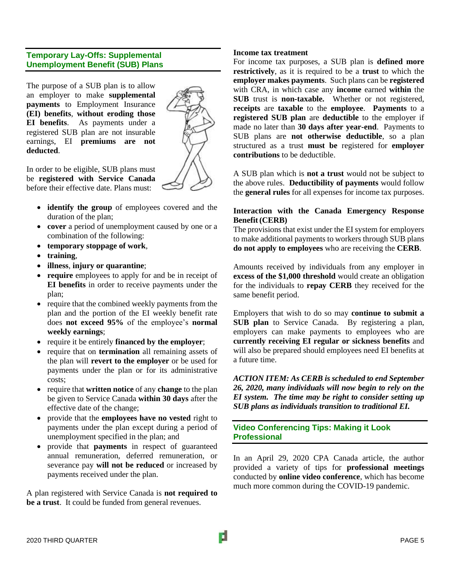# **Temporary Lay-Offs: Supplemental Unemployment Benefit (SUB) Plans**

The purpose of a SUB plan is to allow an employer to make **supplemental payments** to Employment Insurance **(EI) benefits**, **without eroding those EI benefits**. As payments under a registered SUB plan are not insurable earnings, EI **premiums are not deducted**.



In order to be eligible, SUB plans must be **registered with Service Canada** before their effective date. Plans must:

- **identify the group** of employees covered and the duration of the plan;
- **cover** a period of unemployment caused by one or a combination of the following:
- **temporary stoppage of work**,
- **training**,
- **illness**, **injury or quarantine**;
- **require** employees to apply for and be in receipt of **EI benefits** in order to receive payments under the plan;
- require that the combined weekly payments from the plan and the portion of the EI weekly benefit rate does **not exceed 95%** of the employee's **normal weekly earnings**;
- require it be entirely **financed by the employer**;
- require that on **termination** all remaining assets of the plan will **revert to the employer** or be used for payments under the plan or for its administrative costs;
- require that **written notice** of any **change** to the plan be given to Service Canada **within 30 days** after the effective date of the change;
- provide that the **employees have no vested** right to payments under the plan except during a period of unemployment specified in the plan; and
- provide that **payments** in respect of guaranteed annual remuneration, deferred remuneration, or severance pay **will not be reduced** or increased by payments received under the plan.

A plan registered with Service Canada is **not required to be a trust**. It could be funded from general revenues.

# **Income tax treatment**

For income tax purposes, a SUB plan is **defined more restrictively**, as it is required to be a **trust** to which the **employer makes payments**. Such plans can be **registered** with CRA, in which case any **income** earned **within** the **SUB** trust is **non-taxable.** Whether or not registered, **receipts** are **taxable** to the **employee**. **Payments** to a **registered SUB plan** are **deductible** to the employer if made no later than **30 days after year-end**. Payments to SUB plans are **not otherwise deductible**, so a plan structured as a trust **must be** registered for **employer contributions** to be deductible.

A SUB plan which is **not a trust** would not be subject to the above rules. **Deductibility of payments** would follow the **general rules** for all expenses for income tax purposes.

# **Interaction with the Canada Emergency Response Benefit(CERB)**

The provisions that exist under the EI system for employers to make additional payments to workers through SUB plans **do not apply to employees** who are receiving the **CERB**.

Amounts received by individuals from any employer in **excess of the \$1,000 threshold** would create an obligation for the individuals to **repay CERB** they received for the same benefit period.

Employers that wish to do so may **continue to submit a SUB plan** to Service Canada. By registering a plan, employers can make payments to employees who are **currently receiving EI regular or sickness benefits** and will also be prepared should employees need EI benefits at a future time.

*ACTION ITEM: As CERB is scheduled to end September 26, 2020, many individuals will now begin to rely on the EI system. The time may be right to consider setting up SUB plans as individuals transition to traditional EI.*

**Video Conferencing Tips: Making it Look Professional**

In an April 29, 2020 CPA Canada article, the author provided a variety of tips for **professional meetings** conducted by **online video conference**, which has become much more common during the COVID-19 pandemic.